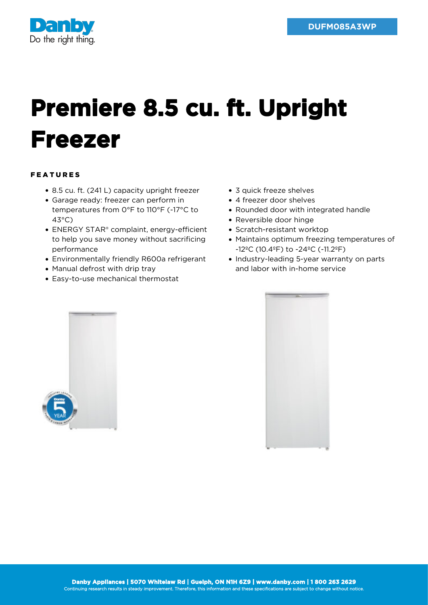

## **Premiere 8.5 cu. ft. Upright Freezer**

## FEATURES

- 8.5 cu. ft. (241 L) capacity upright freezer
- Garage ready: freezer can perform in temperatures from 0°F to 110°F (-17°C to 43°C)
- ENERGY STAR® complaint, energy-efficient to help you save money without sacrificing performance
- Environmentally friendly R600a refrigerant
- Manual defrost with drip tray
- Easy-to-use mechanical thermostat
- 3 quick freeze shelves
- 4 freezer door shelves
- Rounded door with integrated handle
- Reversible door hinge
- Scratch-resistant worktop
- Maintains optimum freezing temperatures of -12ºC (10.4ºF) to -24ºC (-11.2ºF)
- Industry-leading 5-year warranty on parts and labor with in-home service